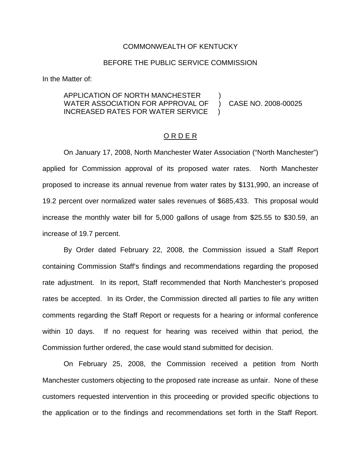#### COMMONWEALTH OF KENTUCKY

#### BEFORE THE PUBLIC SERVICE COMMISSION

In the Matter of:

## APPLICATION OF NORTH MANCHESTER ) WATER ASSOCIATION FOR APPROVAL OF ) CASE NO. 2008-00025 INCREASED RATES FOR WATER SERVICE

### O R D E R

On January 17, 2008, North Manchester Water Association ("North Manchester") applied for Commission approval of its proposed water rates. North Manchester proposed to increase its annual revenue from water rates by \$131,990, an increase of 19.2 percent over normalized water sales revenues of \$685,433. This proposal would increase the monthly water bill for 5,000 gallons of usage from \$25.55 to \$30.59, an increase of 19.7 percent.

By Order dated February 22, 2008, the Commission issued a Staff Report containing Commission Staff's findings and recommendations regarding the proposed rate adjustment. In its report, Staff recommended that North Manchester's proposed rates be accepted. In its Order, the Commission directed all parties to file any written comments regarding the Staff Report or requests for a hearing or informal conference within 10 days. If no request for hearing was received within that period, the Commission further ordered, the case would stand submitted for decision.

On February 25, 2008, the Commission received a petition from North Manchester customers objecting to the proposed rate increase as unfair. None of these customers requested intervention in this proceeding or provided specific objections to the application or to the findings and recommendations set forth in the Staff Report.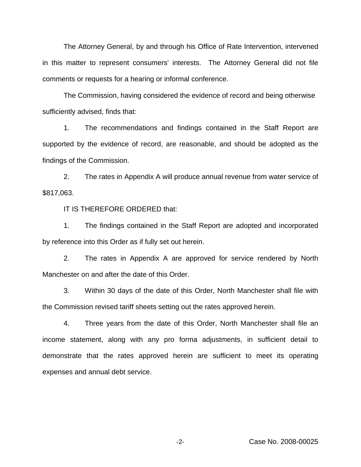The Attorney General, by and through his Office of Rate Intervention, intervened in this matter to represent consumers' interests. The Attorney General did not file comments or requests for a hearing or informal conference.

The Commission, having considered the evidence of record and being otherwise sufficiently advised, finds that:

1. The recommendations and findings contained in the Staff Report are supported by the evidence of record, are reasonable, and should be adopted as the findings of the Commission.

2. The rates in Appendix A will produce annual revenue from water service of \$817,063.

IT IS THEREFORE ORDERED that:

1. The findings contained in the Staff Report are adopted and incorporated by reference into this Order as if fully set out herein.

2. The rates in Appendix A are approved for service rendered by North Manchester on and after the date of this Order.

3. Within 30 days of the date of this Order, North Manchester shall file with the Commission revised tariff sheets setting out the rates approved herein.

4. Three years from the date of this Order, North Manchester shall file an income statement, along with any pro forma adjustments, in sufficient detail to demonstrate that the rates approved herein are sufficient to meet its operating expenses and annual debt service.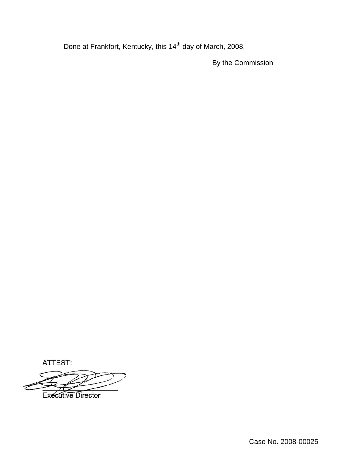Done at Frankfort, Kentucky, this 14<sup>th</sup> day of March, 2008.

By the Commission

ATTEST:

**Executive Director** 

Case No. 2008-00025